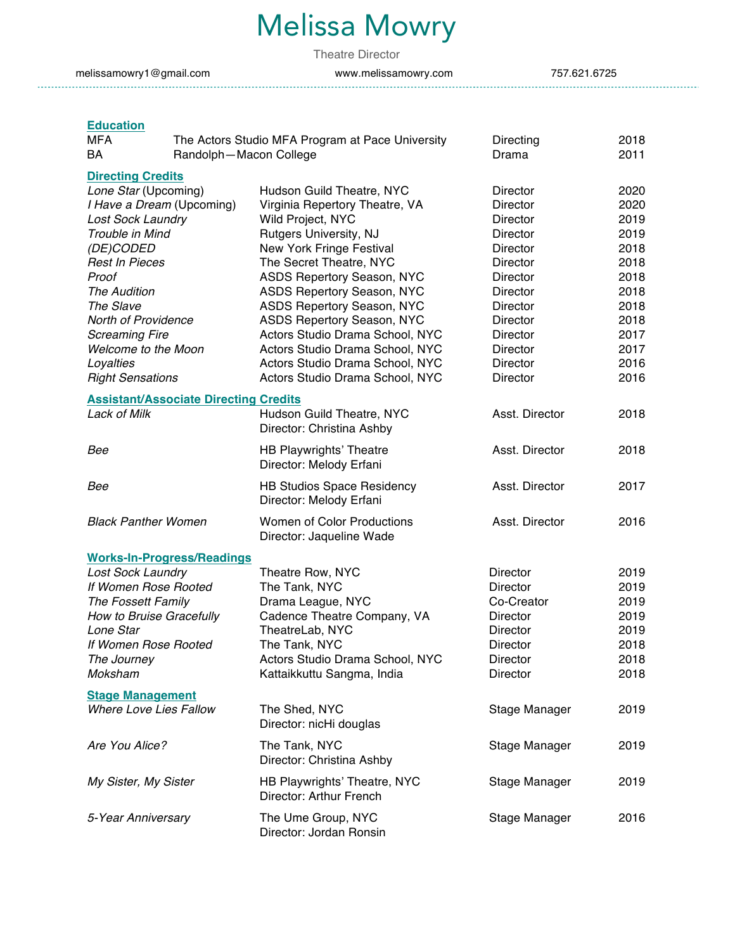# Melissa Mowry

Theatre Director

melissamowry1@gmail.com www.melissamowry.com 757.621.6725

# **Education**

| MFA<br>The Actors Studio MFA Program at Pace University<br>BA<br>Randolph-Macon College                                                                                                                                                                                                                                               |                                                                                                                                                                                                                                                                                                                                                                                                                                       | Directing<br>Drama                                                                                                                                                   | 2018<br>2011                                                                                                 |
|---------------------------------------------------------------------------------------------------------------------------------------------------------------------------------------------------------------------------------------------------------------------------------------------------------------------------------------|---------------------------------------------------------------------------------------------------------------------------------------------------------------------------------------------------------------------------------------------------------------------------------------------------------------------------------------------------------------------------------------------------------------------------------------|----------------------------------------------------------------------------------------------------------------------------------------------------------------------|--------------------------------------------------------------------------------------------------------------|
| <b>Directing Credits</b><br>Lone Star (Upcoming)<br>I Have a Dream (Upcoming)<br><b>Lost Sock Laundry</b><br>Trouble in Mind<br>(DE)CODED<br><b>Rest In Pieces</b><br>Proof<br><b>The Audition</b><br>The Slave<br>North of Providence<br><b>Screaming Fire</b><br><b>Welcome to the Moon</b><br>Loyalties<br><b>Right Sensations</b> | Hudson Guild Theatre, NYC<br>Virginia Repertory Theatre, VA<br>Wild Project, NYC<br>Rutgers University, NJ<br>New York Fringe Festival<br>The Secret Theatre, NYC<br>ASDS Repertory Season, NYC<br>ASDS Repertory Season, NYC<br>ASDS Repertory Season, NYC<br>ASDS Repertory Season, NYC<br>Actors Studio Drama School, NYC<br>Actors Studio Drama School, NYC<br>Actors Studio Drama School, NYC<br>Actors Studio Drama School, NYC | Director<br>Director<br>Director<br>Director<br>Director<br>Director<br>Director<br>Director<br>Director<br>Director<br>Director<br>Director<br>Director<br>Director | 2020<br>2020<br>2019<br>2019<br>2018<br>2018<br>2018<br>2018<br>2018<br>2018<br>2017<br>2017<br>2016<br>2016 |
| <b>Assistant/Associate Directing Credits</b><br><b>Lack of Milk</b>                                                                                                                                                                                                                                                                   | Hudson Guild Theatre, NYC<br>Director: Christina Ashby                                                                                                                                                                                                                                                                                                                                                                                | Asst. Director                                                                                                                                                       | 2018                                                                                                         |
| Bee                                                                                                                                                                                                                                                                                                                                   | <b>HB Playwrights' Theatre</b><br>Director: Melody Erfani                                                                                                                                                                                                                                                                                                                                                                             | Asst. Director                                                                                                                                                       | 2018                                                                                                         |
| Bee                                                                                                                                                                                                                                                                                                                                   | <b>HB Studios Space Residency</b><br>Director: Melody Erfani                                                                                                                                                                                                                                                                                                                                                                          | Asst. Director                                                                                                                                                       | 2017                                                                                                         |
| <b>Black Panther Women</b>                                                                                                                                                                                                                                                                                                            | <b>Women of Color Productions</b><br>Director: Jaqueline Wade                                                                                                                                                                                                                                                                                                                                                                         | Asst. Director                                                                                                                                                       | 2016                                                                                                         |
| <b>Works-In-Progress/Readings</b><br><b>Lost Sock Laundry</b><br>If Women Rose Rooted<br>The Fossett Family<br>How to Bruise Gracefully<br>Lone Star<br>If Women Rose Rooted<br>The Journey<br>Moksham                                                                                                                                | Theatre Row, NYC<br>The Tank, NYC<br>Drama League, NYC<br>Cadence Theatre Company, VA<br>TheatreLab, NYC<br>The Tank, NYC<br>Actors Studio Drama School, NYC<br>Kattaikkuttu Sangma, India                                                                                                                                                                                                                                            | Director<br>Director<br>Co-Creator<br>Director<br>Director<br>Director<br>Director<br>Director                                                                       | 2019<br>2019<br>2019<br>2019<br>2019<br>2018<br>2018<br>2018                                                 |
| <b>Stage Management</b><br><b>Where Love Lies Fallow</b>                                                                                                                                                                                                                                                                              | The Shed, NYC<br>Director: nicHi douglas                                                                                                                                                                                                                                                                                                                                                                                              | Stage Manager                                                                                                                                                        | 2019                                                                                                         |
| Are You Alice?                                                                                                                                                                                                                                                                                                                        | The Tank, NYC<br>Director: Christina Ashby                                                                                                                                                                                                                                                                                                                                                                                            | Stage Manager                                                                                                                                                        | 2019                                                                                                         |
| My Sister, My Sister                                                                                                                                                                                                                                                                                                                  | HB Playwrights' Theatre, NYC<br>Director: Arthur French                                                                                                                                                                                                                                                                                                                                                                               | Stage Manager                                                                                                                                                        | 2019                                                                                                         |
| 5-Year Anniversary                                                                                                                                                                                                                                                                                                                    | The Ume Group, NYC<br>Director: Jordan Ronsin                                                                                                                                                                                                                                                                                                                                                                                         | Stage Manager                                                                                                                                                        | 2016                                                                                                         |